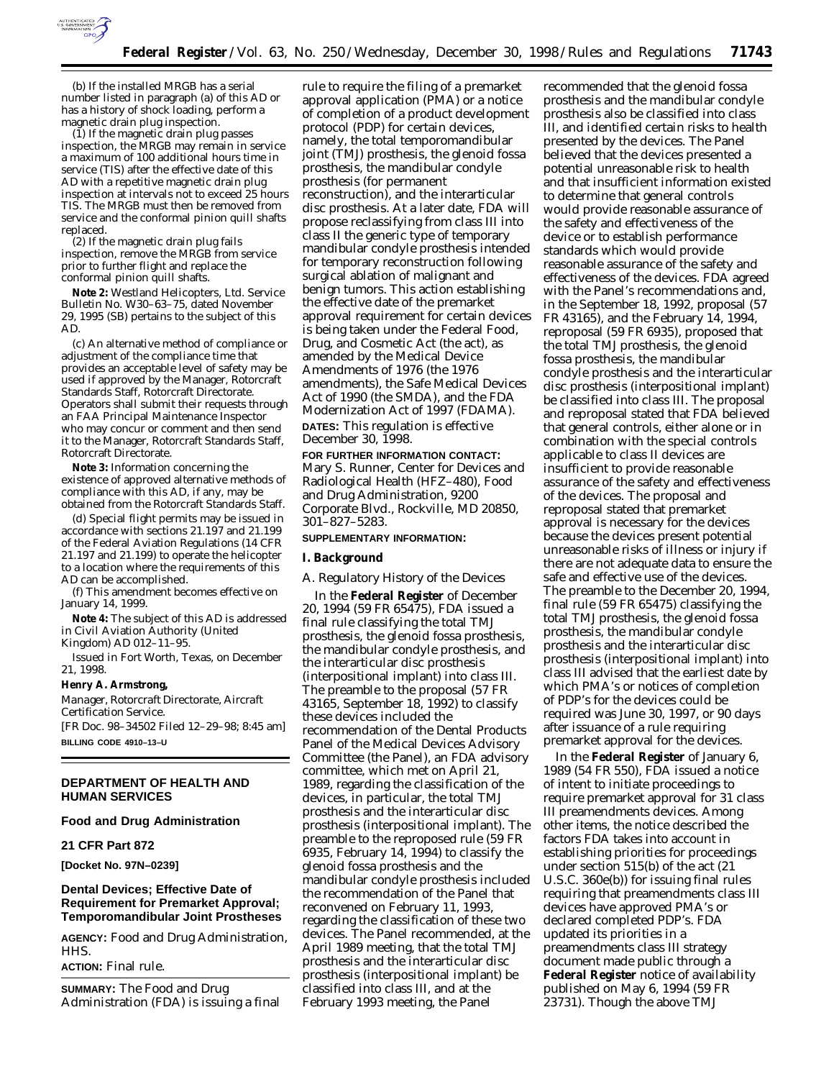

(b) If the installed MRGB has a serial number listed in paragraph (a) of this AD or has a history of shock loading, perform a magnetic drain plug inspection.

(1) If the magnetic drain plug passes inspection, the MRGB may remain in service a maximum of 100 additional hours time in service (TIS) after the effective date of this AD with a repetitive magnetic drain plug inspection at intervals not to exceed 25 hours TIS. The MRGB must then be removed from service and the conformal pinion quill shafts replaced.

(2) If the magnetic drain plug fails inspection, remove the MRGB from service prior to further flight and replace the conformal pinion quill shafts.

**Note 2:** Westland Helicopters, Ltd. Service Bulletin No. W30–63–75, dated November 29, 1995 (SB) pertains to the subject of this AD.

(c) An alternative method of compliance or adjustment of the compliance time that provides an acceptable level of safety may be used if approved by the Manager, Rotorcraft Standards Staff, Rotorcraft Directorate. Operators shall submit their requests through an FAA Principal Maintenance Inspector who may concur or comment and then send it to the Manager, Rotorcraft Standards Staff, Rotorcraft Directorate.

**Note 3:** Information concerning the existence of approved alternative methods of compliance with this AD, if any, may be obtained from the Rotorcraft Standards Staff.

(d) Special flight permits may be issued in accordance with sections 21.197 and 21.199 of the Federal Aviation Regulations (14 CFR 21.197 and 21.199) to operate the helicopter to a location where the requirements of this AD can be accomplished.

(f) This amendment becomes effective on January 14, 1999.

**Note 4:** The subject of this AD is addressed in Civil Aviation Authority (United Kingdom) AD 012–11–95.

Issued in Fort Worth, Texas, on December 21, 1998.

#### **Henry A. Armstrong,**

*Manager, Rotorcraft Directorate, Aircraft Certification Service.*

[FR Doc. 98–34502 Filed 12–29–98; 8:45 am] **BILLING CODE 4910–13–U**

#### **DEPARTMENT OF HEALTH AND HUMAN SERVICES**

## **Food and Drug Administration**

# **21 CFR Part 872**

**[Docket No. 97N–0239]**

# **Dental Devices; Effective Date of Requirement for Premarket Approval; Temporomandibular Joint Prostheses**

**AGENCY:** Food and Drug Administration, HHS.

**ACTION:** Final rule.

**SUMMARY:** The Food and Drug Administration (FDA) is issuing a final

rule to require the filing of a premarket approval application (PMA) or a notice of completion of a product development protocol (PDP) for certain devices, namely, the total temporomandibular joint (TMJ) prosthesis, the glenoid fossa prosthesis, the mandibular condyle prosthesis (for permanent reconstruction), and the interarticular disc prosthesis. At a later date, FDA will propose reclassifying from class III into class II the generic type of temporary mandibular condyle prosthesis intended for temporary reconstruction following surgical ablation of malignant and benign tumors. This action establishing the effective date of the premarket approval requirement for certain devices is being taken under the Federal Food, Drug, and Cosmetic Act (the act), as amended by the Medical Device Amendments of 1976 (the 1976 amendments), the Safe Medical Devices Act of 1990 (the SMDA), and the FDA Modernization Act of 1997 (FDAMA). **DATES:** This regulation is effective December 30, 1998.

**FOR FURTHER INFORMATION CONTACT:** Mary S. Runner, Center for Devices and Radiological Health (HFZ–480), Food and Drug Administration, 9200 Corporate Blvd., Rockville, MD 20850, 301–827–5283.

# **SUPPLEMENTARY INFORMATION:**

#### **I. Background**

#### *A. Regulatory History of the Devices*

In the **Federal Register** of December 20, 1994 (59 FR 65475), FDA issued a final rule classifying the total TMJ prosthesis, the glenoid fossa prosthesis, the mandibular condyle prosthesis, and the interarticular disc prosthesis (interpositional implant) into class III. The preamble to the proposal (57 FR 43165, September 18, 1992) to classify these devices included the recommendation of the Dental Products Panel of the Medical Devices Advisory Committee (the Panel), an FDA advisory committee, which met on April 21, 1989, regarding the classification of the devices, in particular, the total TMJ prosthesis and the interarticular disc prosthesis (interpositional implant). The preamble to the reproposed rule (59 FR 6935, February 14, 1994) to classify the glenoid fossa prosthesis and the mandibular condyle prosthesis included the recommendation of the Panel that reconvened on February 11, 1993, regarding the classification of these two devices. The Panel recommended, at the April 1989 meeting, that the total TMJ prosthesis and the interarticular disc prosthesis (interpositional implant) be classified into class III, and at the February 1993 meeting, the Panel

recommended that the glenoid fossa prosthesis and the mandibular condyle prosthesis also be classified into class III, and identified certain risks to health presented by the devices. The Panel believed that the devices presented a potential unreasonable risk to health and that insufficient information existed to determine that general controls would provide reasonable assurance of the safety and effectiveness of the device or to establish performance standards which would provide reasonable assurance of the safety and effectiveness of the devices. FDA agreed with the Panel's recommendations and, in the September 18, 1992, proposal (57 FR 43165), and the February 14, 1994, reproposal (59 FR 6935), proposed that the total TMJ prosthesis, the glenoid fossa prosthesis, the mandibular condyle prosthesis and the interarticular disc prosthesis (interpositional implant) be classified into class III. The proposal and reproposal stated that FDA believed that general controls, either alone or in combination with the special controls applicable to class II devices are insufficient to provide reasonable assurance of the safety and effectiveness of the devices. The proposal and reproposal stated that premarket approval is necessary for the devices because the devices present potential unreasonable risks of illness or injury if there are not adequate data to ensure the safe and effective use of the devices. The preamble to the December 20, 1994, final rule (59 FR 65475) classifying the total TMJ prosthesis, the glenoid fossa prosthesis, the mandibular condyle prosthesis and the interarticular disc prosthesis (interpositional implant) into class III advised that the earliest date by which PMA's or notices of completion of PDP's for the devices could be required was June 30, 1997, or 90 days after issuance of a rule requiring premarket approval for the devices.

In the **Federal Register** of January 6, 1989 (54 FR 550), FDA issued a notice of intent to initiate proceedings to require premarket approval for 31 class III preamendments devices. Among other items, the notice described the factors FDA takes into account in establishing priorities for proceedings under section 515(b) of the act (21 U.S.C. 360e(b)) for issuing final rules requiring that preamendments class III devices have approved PMA's or declared completed PDP's. FDA updated its priorities in a preamendments class III strategy document made public through a **Federal Register** notice of availability published on May 6, 1994 (59 FR 23731). Though the above TMJ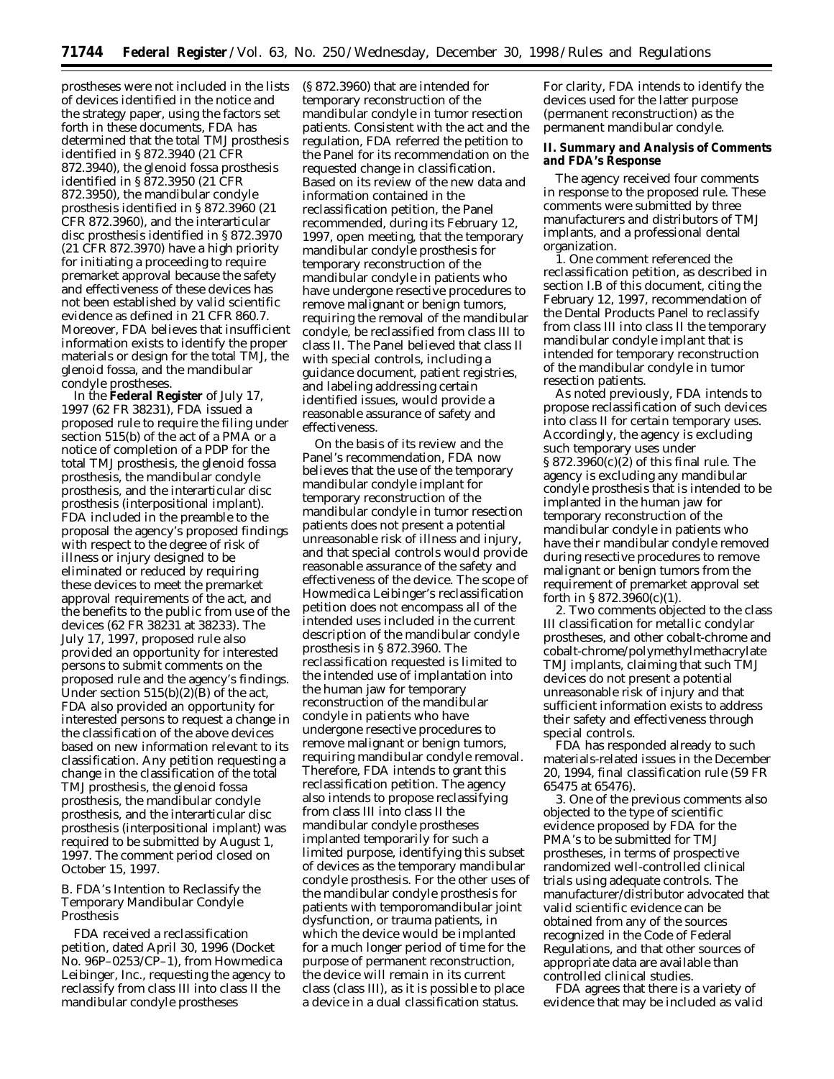prostheses were not included in the lists of devices identified in the notice and the strategy paper, using the factors set forth in these documents, FDA has determined that the total TMJ prosthesis identified in § 872.3940 (21 CFR 872.3940), the glenoid fossa prosthesis identified in § 872.3950 (21 CFR 872.3950), the mandibular condyle prosthesis identified in § 872.3960 (21 CFR 872.3960), and the interarticular disc prosthesis identified in § 872.3970 (21 CFR 872.3970) have a high priority for initiating a proceeding to require premarket approval because the safety and effectiveness of these devices has not been established by valid scientific evidence as defined in 21 CFR 860.7. Moreover, FDA believes that insufficient information exists to identify the proper materials or design for the total TMJ, the glenoid fossa, and the mandibular condyle prostheses.

In the **Federal Register** of July 17, 1997 (62 FR 38231), FDA issued a proposed rule to require the filing under section 515(b) of the act of a PMA or a notice of completion of a PDP for the total TMJ prosthesis, the glenoid fossa prosthesis, the mandibular condyle prosthesis, and the interarticular disc prosthesis (interpositional implant). FDA included in the preamble to the proposal the agency's proposed findings with respect to the degree of risk of illness or injury designed to be eliminated or reduced by requiring these devices to meet the premarket approval requirements of the act, and the benefits to the public from use of the devices (62 FR 38231 at 38233). The July 17, 1997, proposed rule also provided an opportunity for interested persons to submit comments on the proposed rule and the agency's findings. Under section  $515(b)(2)(B)$  of the act, FDA also provided an opportunity for interested persons to request a change in the classification of the above devices based on new information relevant to its classification. Any petition requesting a change in the classification of the total TMJ prosthesis, the glenoid fossa prosthesis, the mandibular condyle prosthesis, and the interarticular disc prosthesis (interpositional implant) was required to be submitted by August 1, 1997. The comment period closed on October 15, 1997.

## *B. FDA's Intention to Reclassify the Temporary Mandibular Condyle Prosthesis*

FDA received a reclassification petition, dated April 30, 1996 (Docket No. 96P–0253/CP–1), from Howmedica Leibinger, Inc., requesting the agency to reclassify from class III into class II the mandibular condyle prostheses

(§ 872.3960) that are intended for temporary reconstruction of the mandibular condyle in tumor resection patients. Consistent with the act and the regulation, FDA referred the petition to the Panel for its recommendation on the requested change in classification. Based on its review of the new data and information contained in the reclassification petition, the Panel recommended, during its February 12, 1997, open meeting, that the temporary mandibular condyle prosthesis for temporary reconstruction of the mandibular condyle in patients who have undergone resective procedures to remove malignant or benign tumors, requiring the removal of the mandibular condyle, be reclassified from class III to class II. The Panel believed that class II with special controls, including a guidance document, patient registries, and labeling addressing certain identified issues, would provide a reasonable assurance of safety and effectiveness.

On the basis of its review and the Panel's recommendation, FDA now believes that the use of the temporary mandibular condyle implant for temporary reconstruction of the mandibular condyle in tumor resection patients does not present a potential unreasonable risk of illness and injury, and that special controls would provide reasonable assurance of the safety and effectiveness of the device. The scope of Howmedica Leibinger's reclassification petition does not encompass all of the intended uses included in the current description of the mandibular condyle prosthesis in § 872.3960. The reclassification requested is limited to the intended use of implantation into the human jaw for temporary reconstruction of the mandibular condyle in patients who have undergone resective procedures to remove malignant or benign tumors, requiring mandibular condyle removal. Therefore, FDA intends to grant this reclassification petition. The agency also intends to propose reclassifying from class III into class II the mandibular condyle prostheses implanted temporarily for such a limited purpose, identifying this subset of devices as the temporary mandibular condyle prosthesis. For the other uses of the mandibular condyle prosthesis for patients with temporomandibular joint dysfunction, or trauma patients, in which the device would be implanted for a much longer period of time for the purpose of permanent reconstruction, the device will remain in its current class (class III), as it is possible to place a device in a dual classification status.

For clarity, FDA intends to identify the devices used for the latter purpose (permanent reconstruction) as the permanent mandibular condyle.

# **II. Summary and Analysis of Comments and FDA's Response**

The agency received four comments in response to the proposed rule. These comments were submitted by three manufacturers and distributors of TMJ implants, and a professional dental organization.

1. One comment referenced the reclassification petition, as described in section I.B of this document, citing the February 12, 1997, recommendation of the Dental Products Panel to reclassify from class III into class II the temporary mandibular condyle implant that is intended for temporary reconstruction of the mandibular condyle in tumor resection patients.

As noted previously, FDA intends to propose reclassification of such devices into class II for certain temporary uses. Accordingly, the agency is excluding such temporary uses under § 872.3960(c)(2) of this final rule. The agency is excluding any mandibular condyle prosthesis that is intended to be implanted in the human jaw for temporary reconstruction of the mandibular condyle in patients who have their mandibular condyle removed during resective procedures to remove malignant or benign tumors from the requirement of premarket approval set forth in § 872.3960(c)(1).

2. Two comments objected to the class III classification for metallic condylar prostheses, and other cobalt-chrome and cobalt-chrome/polymethylmethacrylate TMJ implants, claiming that such TMJ devices do not present a potential unreasonable risk of injury and that sufficient information exists to address their safety and effectiveness through special controls.

FDA has responded already to such materials-related issues in the December 20, 1994, final classification rule (59 FR 65475 at 65476).

3. One of the previous comments also objected to the type of scientific evidence proposed by FDA for the PMA's to be submitted for TMJ prostheses, in terms of prospective randomized well-controlled clinical trials using adequate controls. The manufacturer/distributor advocated that valid scientific evidence can be obtained from any of the sources recognized in the Code of Federal Regulations, and that other sources of appropriate data are available than controlled clinical studies.

FDA agrees that there is a variety of evidence that may be included as valid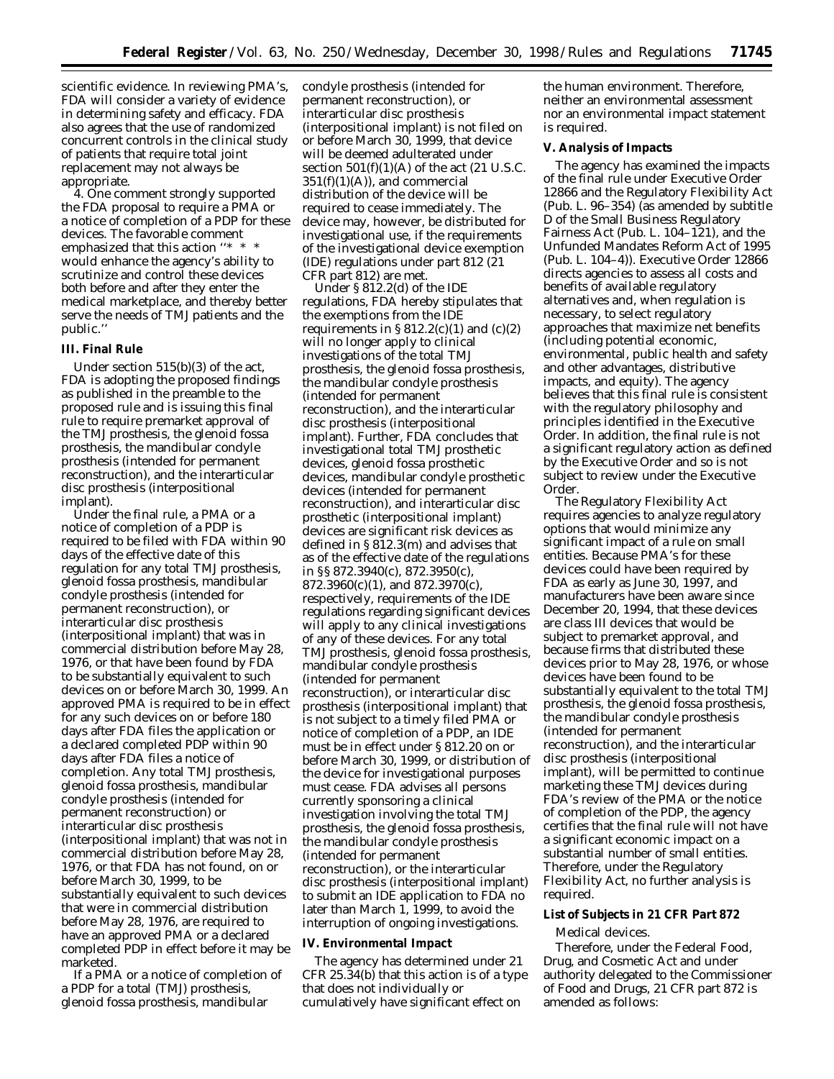scientific evidence. In reviewing PMA's, FDA will consider a variety of evidence in determining safety and efficacy. FDA also agrees that the use of randomized concurrent controls in the clinical study of patients that require total joint replacement may not always be appropriate.

4. One comment strongly supported the FDA proposal to require a PMA or a notice of completion of a PDP for these devices. The favorable comment emphasized that this action "\* \* \* would enhance the agency's ability to scrutinize and control these devices both before and after they enter the medical marketplace, and thereby better serve the needs of TMJ patients and the public.''

#### **III. Final Rule**

Under section 515(b)(3) of the act, FDA is adopting the proposed findings as published in the preamble to the proposed rule and is issuing this final rule to require premarket approval of the TMJ prosthesis, the glenoid fossa prosthesis, the mandibular condyle prosthesis (intended for permanent reconstruction), and the interarticular disc prosthesis (interpositional implant).

Under the final rule, a PMA or a notice of completion of a PDP is required to be filed with FDA within 90 days of the effective date of this regulation for any total TMJ prosthesis, glenoid fossa prosthesis, mandibular condyle prosthesis (intended for permanent reconstruction), or interarticular disc prosthesis (interpositional implant) that was in commercial distribution before May 28, 1976, or that have been found by FDA to be substantially equivalent to such devices on or before March 30, 1999. An approved PMA is required to be in effect for any such devices on or before 180 days after FDA files the application or a declared completed PDP within 90 days after FDA files a notice of completion. Any total TMJ prosthesis, glenoid fossa prosthesis, mandibular condyle prosthesis (intended for permanent reconstruction) or interarticular disc prosthesis (interpositional implant) that was not in commercial distribution before May 28, 1976, or that FDA has not found, on or before March 30, 1999, to be substantially equivalent to such devices that were in commercial distribution before May 28, 1976, are required to have an approved PMA or a declared completed PDP in effect before it may be marketed.

If a PMA or a notice of completion of a PDP for a total (TMJ) prosthesis, glenoid fossa prosthesis, mandibular

condyle prosthesis (intended for permanent reconstruction), or interarticular disc prosthesis (interpositional implant) is not filed on or before March 30, 1999, that device will be deemed adulterated under section  $501(f)(1)(A)$  of the act (21 U.S.C.  $351(f)(1)(A)$ , and commercial distribution of the device will be required to cease immediately. The device may, however, be distributed for investigational use, if the requirements of the investigational device exemption (IDE) regulations under part 812 (21 CFR part 812) are met.

Under § 812.2(d) of the IDE regulations, FDA hereby stipulates that the exemptions from the IDE requirements in  $\S 812.2(c)(1)$  and  $(c)(2)$ will no longer apply to clinical investigations of the total TMJ prosthesis, the glenoid fossa prosthesis, the mandibular condyle prosthesis (intended for permanent reconstruction), and the interarticular disc prosthesis (interpositional implant). Further, FDA concludes that investigational total TMJ prosthetic devices, glenoid fossa prosthetic devices, mandibular condyle prosthetic devices (intended for permanent reconstruction), and interarticular disc prosthetic (interpositional implant) devices are significant risk devices as defined in § 812.3(m) and advises that as of the effective date of the regulations in §§ 872.3940(c), 872.3950(c), 872.3960(c)(1), and 872.3970(c), respectively, requirements of the IDE regulations regarding significant devices will apply to any clinical investigations of any of these devices. For any total TMJ prosthesis, glenoid fossa prosthesis, mandibular condyle prosthesis (intended for permanent reconstruction), or interarticular disc prosthesis (interpositional implant) that is not subject to a timely filed PMA or notice of completion of a PDP, an IDE must be in effect under § 812.20 on or before March 30, 1999, or distribution of the device for investigational purposes must cease. FDA advises all persons currently sponsoring a clinical investigation involving the total TMJ prosthesis, the glenoid fossa prosthesis, the mandibular condyle prosthesis (intended for permanent reconstruction), or the interarticular disc prosthesis (interpositional implant) to submit an IDE application to FDA no later than March 1, 1999, to avoid the interruption of ongoing investigations.

#### **IV. Environmental Impact**

The agency has determined under 21 CFR 25.34(b) that this action is of a type that does not individually or cumulatively have significant effect on

the human environment. Therefore, neither an environmental assessment nor an environmental impact statement is required.

## **V. Analysis of Impacts**

The agency has examined the impacts of the final rule under Executive Order 12866 and the Regulatory Flexibility Act (Pub. L. 96–354) (as amended by subtitle D of the Small Business Regulatory Fairness Act (Pub. L. 104–121), and the Unfunded Mandates Reform Act of 1995 (Pub. L. 104–4)). Executive Order 12866 directs agencies to assess all costs and benefits of available regulatory alternatives and, when regulation is necessary, to select regulatory approaches that maximize net benefits (including potential economic, environmental, public health and safety and other advantages, distributive impacts, and equity). The agency believes that this final rule is consistent with the regulatory philosophy and principles identified in the Executive Order. In addition, the final rule is not a significant regulatory action as defined by the Executive Order and so is not subject to review under the Executive Order.

The Regulatory Flexibility Act requires agencies to analyze regulatory options that would minimize any significant impact of a rule on small entities. Because PMA's for these devices could have been required by FDA as early as June 30, 1997, and manufacturers have been aware since December 20, 1994, that these devices are class III devices that would be subject to premarket approval, and because firms that distributed these devices prior to May 28, 1976, or whose devices have been found to be substantially equivalent to the total TMJ prosthesis, the glenoid fossa prosthesis, the mandibular condyle prosthesis (intended for permanent reconstruction), and the interarticular disc prosthesis (interpositional implant), will be permitted to continue marketing these TMJ devices during FDA's review of the PMA or the notice of completion of the PDP, the agency certifies that the final rule will not have a significant economic impact on a substantial number of small entities. Therefore, under the Regulatory Flexibility Act, no further analysis is required.

#### **List of Subjects in 21 CFR Part 872**

Medical devices.

Therefore, under the Federal Food, Drug, and Cosmetic Act and under authority delegated to the Commissioner of Food and Drugs, 21 CFR part 872 is amended as follows: